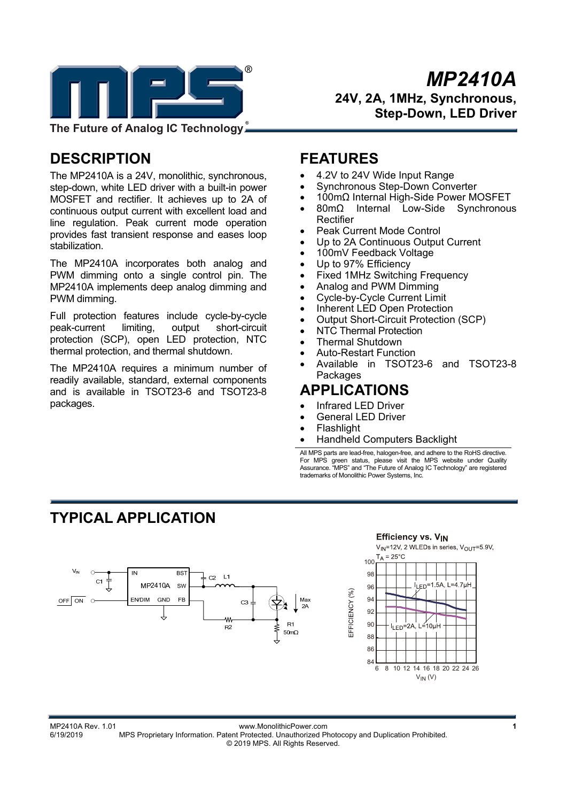

*MP2410A* **24V, 2A, 1MHz, Synchronous, Step-Down, LED Driver** 

## **DESCRIPTION**

The MP2410A is a 24V, monolithic, synchronous, step-down, white LED driver with a built-in power MOSFET and rectifier. It achieves up to 2A of continuous output current with excellent load and line regulation. Peak current mode operation provides fast transient response and eases loop stabilization.

The MP2410A incorporates both analog and PWM dimming onto a single control pin. The MP2410A implements deep analog dimming and PWM dimming.

Full protection features include cycle-by-cycle peak-current limiting, output short-circuit protection (SCP), open LED protection, NTC thermal protection, and thermal shutdown.

The MP2410A requires a minimum number of readily available, standard, external components and is available in TSOT23-6 and TSOT23-8 packages.

### **FEATURES**

- 4.2V to 24V Wide Input Range
- Synchronous Step-Down Converter
- 100mΩ Internal High-Side Power MOSFET
- 80mΩ Internal Low-Side Synchronous Rectifier
- Peak Current Mode Control
- Up to 2A Continuous Output Current
- 100mV Feedback Voltage
- Up to 97% Efficiency
- Fixed 1MHz Switching Frequency
- Analog and PWM Dimming
- Cycle-by-Cycle Current Limit
- Inherent LED Open Protection
- Output Short-Circuit Protection (SCP)
- NTC Thermal Protection
- Thermal Shutdown
- Auto-Restart Function
- Available in TSOT23-6 and TSOT23-8 **Packages**

# **APPLICATIONS**

- Infrared LED Driver
- General LED Driver

EFFICIENCY (%)

- Flashlight
- Handheld Computers Backlight

All MPS parts are lead-free, halogen-free, and adhere to the RoHS directive. For MPS green status, please visit the MPS website under Quality Assurance. "MPS" and "The Future of Analog IC Technology" are registered trademarks of Monolithic Power Systems, Inc.

**Efficiency vs. VIN** 

## **TYPICAL APPLICATION**



#### V<sub>IN</sub>=12V, 2 WLEDs in series, V<sub>OUT</sub>=5.9V,  $T_A = 25^{\circ}$ C 100 98 L<sub>ED</sub>=1.5A, L=4.7uH 96 94



MP2410A Rev. 1.01 www.MonolithicPower.com **1** 6/19/2019 MPS Proprietary Information. Patent Protected. Unauthorized Photocopy and Duplication Prohibited. © 2019 MPS. All Rights Reserved.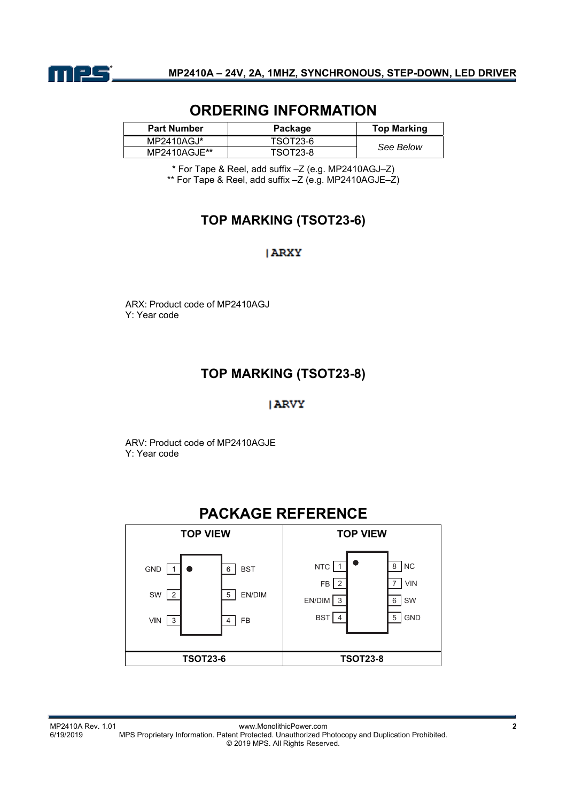

### **ORDERING INFORMATION**

| <b>Part Number</b> | Package         | <b>Top Marking</b> |
|--------------------|-----------------|--------------------|
| $MP2410AGJ^*$      | TSOT23-6        | See Below          |
| MP2410AGJE**       | <b>TSOT23-8</b> |                    |

\* For Tape & Reel, add suffix –Z (e.g. MP2410AGJ–Z) \*\* For Tape & Reel, add suffix –Z (e.g. MP2410AGJE–Z)

### **TOP MARKING (TSOT23-6)**

#### **ARXY**

ARX: Product code of MP2410AGJ Y: Year code

### **TOP MARKING (TSOT23-8)**

### **JARVY**

ARV: Product code of MP2410AGJE Y: Year code

### **PACKAGE REFERENCE**

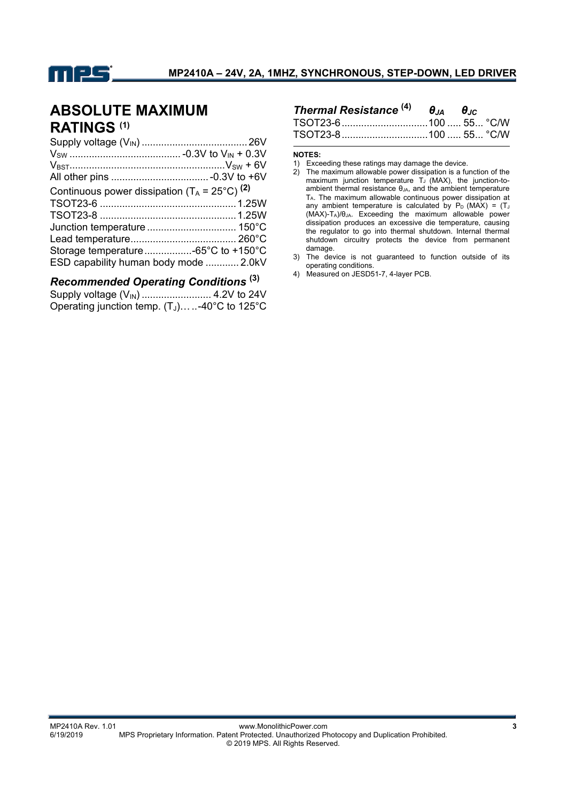

## **ABSOLUTE MAXIMUM RATINGS (1)**

| Continuous power dissipation $(T_A = 25^{\circ}C)^{(2)}$ |  |
|----------------------------------------------------------|--|
|                                                          |  |
|                                                          |  |
|                                                          |  |
|                                                          |  |
| Storage temperature-65°C to +150°C                       |  |
| ESD capability human body mode  2.0kV                    |  |

### *Recommended Operating Conditions* **(3)**

| Operating junction temp. $(T_J)$ -40°C to 125°C |  |
|-------------------------------------------------|--|

| Thermal Resistance $^{(4)}$ $\theta_{JA}$ $\theta_{JC}$ |  |  |
|---------------------------------------------------------|--|--|
|                                                         |  |  |
|                                                         |  |  |

**NOTES:** 

- 2) The maximum allowable power dissipation is a function of the maximum junction temperature  $T_J$  (MAX), the junction-toambient thermal resistance θ<sub>JA</sub>, and the ambient temperature TA. The maximum allowable continuous power dissipation at any ambient temperature is calculated by  $P_D$  (MAX) = (TJ) (MAX)-TA)/θJA. Exceeding the maximum allowable power dissipation produces an excessive die temperature, causing the regulator to go into thermal shutdown. Internal thermal shutdown circuitry protects the device from permanent damage.
- 3) The device is not guaranteed to function outside of its operating conditions.
- 4) Measured on JESD51-7, 4-layer PCB.

<sup>1)</sup> Exceeding these ratings may damage the device.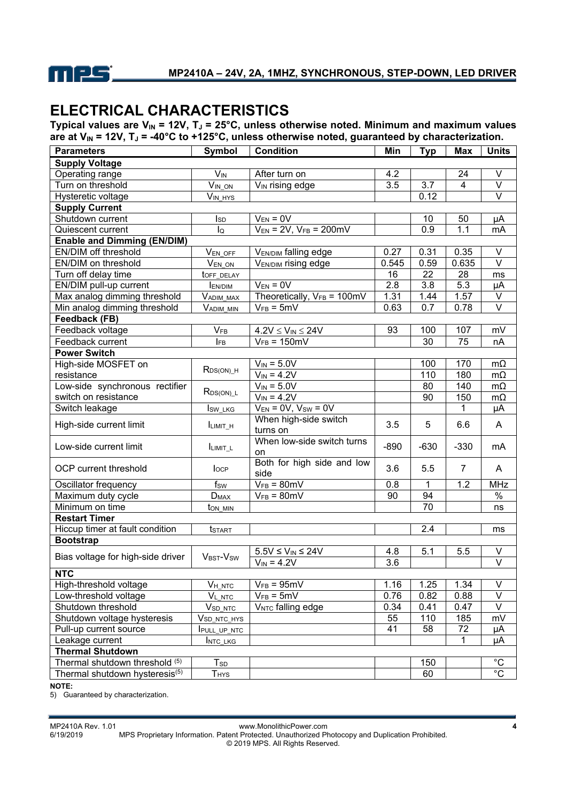

# **ELECTRICAL CHARACTERISTICS**

Typical values are  $V_{IN}$  = 12V, T<sub>J</sub> = 25°C, unless otherwise noted. Minimum and maximum values are at V<sub>IN</sub> = 12V, T<sub>J</sub> = -40°C to +125°C, unless otherwise noted, guaranteed by characterization.

| <b>Supply Voltage</b><br>Operating range<br>$V_{IN}$<br>After turn on<br>V<br>4.2<br>24<br>3.7<br>Turn on threshold<br>V <sub>IN</sub> rising edge<br>3.5<br>V<br>VIN ON<br>4<br>0.12<br>V<br>Hysteretic voltage<br>$V_{IN\_HYS}$<br><b>Supply Current</b><br>Shutdown current<br>$V_{EN} = 0V$<br>10<br>50<br>μA<br>Isp<br>$V_{EN} = 2V$ , $V_{FB} = 200$ mV<br>0.9<br>Quiescent current<br>lQ<br>1.1<br>mA<br><b>Enable and Dimming (EN/DIM)</b><br>$\vee$<br>EN/DIM off threshold<br>0.35<br><b>VEN/DIM falling edge</b><br>0.27<br>0.31<br>VEN OFF<br>$\overline{\vee}$<br>EN/DIM on threshold<br><b>VEN/DIM rising edge</b><br>0.545<br>$V_{EN\_ON}$<br>0.59<br>0.635<br>Turn off delay time<br>16<br>28<br>22<br>toff_DELAY<br>ms<br>$V_{EN} = 0V$<br>2.8<br>5.3<br>EN/DIM pull-up current<br>3.8<br>μA<br><b>IEN/DIM</b><br>V<br>Theoretically, $V_{FB} = 100 \text{mV}$<br>1.31<br>1.57<br>Max analog dimming threshold<br>1.44<br>Vadim_max<br>$\overline{\mathsf{V}}$<br>$\overline{0.7}$<br>Min analog dimming threshold<br>$V_{FB} = 5mV$<br>0.63<br>0.78<br>VADIM MIN<br>Feedback (FB)<br>Feedback voltage<br>$V_{FB}$<br>107<br>mV<br>93<br>100<br>$4.2V \leq V_{IN} \leq 24V$<br>75<br>Feedback current<br>$V_{FB} = 150 \text{mV}$<br>30<br><b>IFB</b><br>nA<br><b>Power Switch</b><br>$V_{IN} = 5.0V$<br>170<br>High-side MOSFET on<br>100<br>$m\Omega$<br>$R_{DS(ON)_H}$<br>$V_{IN} = 4.2V$<br>110<br>180<br>resistance<br>$m\Omega$<br>$V_{IN} = 5.0V$<br>140<br>Low-side synchronous rectifier<br>80<br>$m\Omega$<br>$R_{DS(ON) L}$<br>$V_{IN} = 4.2V$<br>switch on resistance<br>150<br>90<br>$m\Omega$<br>$V_{EN} = 0V$ , $V_{SW} = 0V$<br>Switch leakage<br>1<br>μA<br>Isw_LKG<br>When high-side switch<br>3.5<br>5<br>High-side current limit<br>6.6<br>A<br>ILIMIT_H<br>turns on<br>When low-side switch turns<br>$-890$<br>$-630$<br>$-330$<br>Low-side current limit<br>mA<br>ILIMIT_L<br>on<br>Both for high side and low<br>OCP current threshold<br>3.6<br>5.5<br>$\overline{7}$<br>A<br>locp<br>side<br>1.2<br><b>MHz</b><br>$V_{FB} = 80mV$<br>1<br>Oscillator frequency<br>f <sub>SW</sub><br>0.8<br>$\frac{1}{6}$<br>94<br>$V_{FB} = 80 \text{mV}$<br>90<br>Maximum duty cycle<br>$D_{MAX}$<br>Minimum on time<br>70<br>ton_min<br>ns<br><b>Restart Timer</b><br>Hiccup timer at fault condition<br>2.4<br><b>t</b> start<br>ms<br><b>Bootstrap</b><br>$5.5V \leq V_{IN} \leq 24V$<br>5.1<br>5.5<br>V<br>4.8<br>Bias voltage for high-side driver<br>V <sub>BST</sub> -V <sub>SW</sub><br>$V_{IN} = 4.2V$<br>$\overline{\mathsf{V}}$<br>3.6<br><b>NTC</b><br>High-threshold voltage<br>$V_{FB} = 95mV$<br>1.25<br>1.34<br>$VH_NTC$<br>1.16<br>V<br>$V_{FB} = 5mV$<br>0.76<br>V<br>Low-threshold voltage<br>$V_{L\_NTC}$<br>0.82<br>0.88<br>Shutdown threshold<br>0.34<br>V<br>V <sub>NTC</sub> falling edge<br>0.41<br>0.47<br>V <sub>SD_NTC</sub><br>55<br>185<br>Shutdown voltage hysteresis<br>110<br>mV<br>V <sub>SD_NTC_HYS</sub><br>Pull-up current source<br>41<br>58<br>72<br>PULL_UP_NTC<br>μA<br>Leakage current<br>1<br>μA<br>INTC_LKG<br><b>Thermal Shutdown</b><br>$^{\circ}C$<br>Thermal shutdown threshold (5)<br>$T_{SD}$<br>150 | <b>Parameters</b>              | Symbol    | <b>Condition</b> | Min | <b>Typ</b> | Max | <b>Units</b>   |
|------------------------------------------------------------------------------------------------------------------------------------------------------------------------------------------------------------------------------------------------------------------------------------------------------------------------------------------------------------------------------------------------------------------------------------------------------------------------------------------------------------------------------------------------------------------------------------------------------------------------------------------------------------------------------------------------------------------------------------------------------------------------------------------------------------------------------------------------------------------------------------------------------------------------------------------------------------------------------------------------------------------------------------------------------------------------------------------------------------------------------------------------------------------------------------------------------------------------------------------------------------------------------------------------------------------------------------------------------------------------------------------------------------------------------------------------------------------------------------------------------------------------------------------------------------------------------------------------------------------------------------------------------------------------------------------------------------------------------------------------------------------------------------------------------------------------------------------------------------------------------------------------------------------------------------------------------------------------------------------------------------------------------------------------------------------------------------------------------------------------------------------------------------------------------------------------------------------------------------------------------------------------------------------------------------------------------------------------------------------------------------------------------------------------------------------------------------------------------------------------------------------------------------------------------------------------------------------------------------------------------------------------------------------------------------------------------------------------------------------------------------------------------------------------------------------------------------------------------------------------------------------------------------------------------------------------------------------------------------------------------------------------------------------------------------------------------------------------------------------------------------------------------------------------------------|--------------------------------|-----------|------------------|-----|------------|-----|----------------|
|                                                                                                                                                                                                                                                                                                                                                                                                                                                                                                                                                                                                                                                                                                                                                                                                                                                                                                                                                                                                                                                                                                                                                                                                                                                                                                                                                                                                                                                                                                                                                                                                                                                                                                                                                                                                                                                                                                                                                                                                                                                                                                                                                                                                                                                                                                                                                                                                                                                                                                                                                                                                                                                                                                                                                                                                                                                                                                                                                                                                                                                                                                                                                                                    |                                |           |                  |     |            |     |                |
|                                                                                                                                                                                                                                                                                                                                                                                                                                                                                                                                                                                                                                                                                                                                                                                                                                                                                                                                                                                                                                                                                                                                                                                                                                                                                                                                                                                                                                                                                                                                                                                                                                                                                                                                                                                                                                                                                                                                                                                                                                                                                                                                                                                                                                                                                                                                                                                                                                                                                                                                                                                                                                                                                                                                                                                                                                                                                                                                                                                                                                                                                                                                                                                    |                                |           |                  |     |            |     |                |
|                                                                                                                                                                                                                                                                                                                                                                                                                                                                                                                                                                                                                                                                                                                                                                                                                                                                                                                                                                                                                                                                                                                                                                                                                                                                                                                                                                                                                                                                                                                                                                                                                                                                                                                                                                                                                                                                                                                                                                                                                                                                                                                                                                                                                                                                                                                                                                                                                                                                                                                                                                                                                                                                                                                                                                                                                                                                                                                                                                                                                                                                                                                                                                                    |                                |           |                  |     |            |     |                |
|                                                                                                                                                                                                                                                                                                                                                                                                                                                                                                                                                                                                                                                                                                                                                                                                                                                                                                                                                                                                                                                                                                                                                                                                                                                                                                                                                                                                                                                                                                                                                                                                                                                                                                                                                                                                                                                                                                                                                                                                                                                                                                                                                                                                                                                                                                                                                                                                                                                                                                                                                                                                                                                                                                                                                                                                                                                                                                                                                                                                                                                                                                                                                                                    |                                |           |                  |     |            |     |                |
|                                                                                                                                                                                                                                                                                                                                                                                                                                                                                                                                                                                                                                                                                                                                                                                                                                                                                                                                                                                                                                                                                                                                                                                                                                                                                                                                                                                                                                                                                                                                                                                                                                                                                                                                                                                                                                                                                                                                                                                                                                                                                                                                                                                                                                                                                                                                                                                                                                                                                                                                                                                                                                                                                                                                                                                                                                                                                                                                                                                                                                                                                                                                                                                    |                                |           |                  |     |            |     |                |
|                                                                                                                                                                                                                                                                                                                                                                                                                                                                                                                                                                                                                                                                                                                                                                                                                                                                                                                                                                                                                                                                                                                                                                                                                                                                                                                                                                                                                                                                                                                                                                                                                                                                                                                                                                                                                                                                                                                                                                                                                                                                                                                                                                                                                                                                                                                                                                                                                                                                                                                                                                                                                                                                                                                                                                                                                                                                                                                                                                                                                                                                                                                                                                                    |                                |           |                  |     |            |     |                |
|                                                                                                                                                                                                                                                                                                                                                                                                                                                                                                                                                                                                                                                                                                                                                                                                                                                                                                                                                                                                                                                                                                                                                                                                                                                                                                                                                                                                                                                                                                                                                                                                                                                                                                                                                                                                                                                                                                                                                                                                                                                                                                                                                                                                                                                                                                                                                                                                                                                                                                                                                                                                                                                                                                                                                                                                                                                                                                                                                                                                                                                                                                                                                                                    |                                |           |                  |     |            |     |                |
|                                                                                                                                                                                                                                                                                                                                                                                                                                                                                                                                                                                                                                                                                                                                                                                                                                                                                                                                                                                                                                                                                                                                                                                                                                                                                                                                                                                                                                                                                                                                                                                                                                                                                                                                                                                                                                                                                                                                                                                                                                                                                                                                                                                                                                                                                                                                                                                                                                                                                                                                                                                                                                                                                                                                                                                                                                                                                                                                                                                                                                                                                                                                                                                    |                                |           |                  |     |            |     |                |
|                                                                                                                                                                                                                                                                                                                                                                                                                                                                                                                                                                                                                                                                                                                                                                                                                                                                                                                                                                                                                                                                                                                                                                                                                                                                                                                                                                                                                                                                                                                                                                                                                                                                                                                                                                                                                                                                                                                                                                                                                                                                                                                                                                                                                                                                                                                                                                                                                                                                                                                                                                                                                                                                                                                                                                                                                                                                                                                                                                                                                                                                                                                                                                                    |                                |           |                  |     |            |     |                |
|                                                                                                                                                                                                                                                                                                                                                                                                                                                                                                                                                                                                                                                                                                                                                                                                                                                                                                                                                                                                                                                                                                                                                                                                                                                                                                                                                                                                                                                                                                                                                                                                                                                                                                                                                                                                                                                                                                                                                                                                                                                                                                                                                                                                                                                                                                                                                                                                                                                                                                                                                                                                                                                                                                                                                                                                                                                                                                                                                                                                                                                                                                                                                                                    |                                |           |                  |     |            |     |                |
|                                                                                                                                                                                                                                                                                                                                                                                                                                                                                                                                                                                                                                                                                                                                                                                                                                                                                                                                                                                                                                                                                                                                                                                                                                                                                                                                                                                                                                                                                                                                                                                                                                                                                                                                                                                                                                                                                                                                                                                                                                                                                                                                                                                                                                                                                                                                                                                                                                                                                                                                                                                                                                                                                                                                                                                                                                                                                                                                                                                                                                                                                                                                                                                    |                                |           |                  |     |            |     |                |
|                                                                                                                                                                                                                                                                                                                                                                                                                                                                                                                                                                                                                                                                                                                                                                                                                                                                                                                                                                                                                                                                                                                                                                                                                                                                                                                                                                                                                                                                                                                                                                                                                                                                                                                                                                                                                                                                                                                                                                                                                                                                                                                                                                                                                                                                                                                                                                                                                                                                                                                                                                                                                                                                                                                                                                                                                                                                                                                                                                                                                                                                                                                                                                                    |                                |           |                  |     |            |     |                |
|                                                                                                                                                                                                                                                                                                                                                                                                                                                                                                                                                                                                                                                                                                                                                                                                                                                                                                                                                                                                                                                                                                                                                                                                                                                                                                                                                                                                                                                                                                                                                                                                                                                                                                                                                                                                                                                                                                                                                                                                                                                                                                                                                                                                                                                                                                                                                                                                                                                                                                                                                                                                                                                                                                                                                                                                                                                                                                                                                                                                                                                                                                                                                                                    |                                |           |                  |     |            |     |                |
|                                                                                                                                                                                                                                                                                                                                                                                                                                                                                                                                                                                                                                                                                                                                                                                                                                                                                                                                                                                                                                                                                                                                                                                                                                                                                                                                                                                                                                                                                                                                                                                                                                                                                                                                                                                                                                                                                                                                                                                                                                                                                                                                                                                                                                                                                                                                                                                                                                                                                                                                                                                                                                                                                                                                                                                                                                                                                                                                                                                                                                                                                                                                                                                    |                                |           |                  |     |            |     |                |
|                                                                                                                                                                                                                                                                                                                                                                                                                                                                                                                                                                                                                                                                                                                                                                                                                                                                                                                                                                                                                                                                                                                                                                                                                                                                                                                                                                                                                                                                                                                                                                                                                                                                                                                                                                                                                                                                                                                                                                                                                                                                                                                                                                                                                                                                                                                                                                                                                                                                                                                                                                                                                                                                                                                                                                                                                                                                                                                                                                                                                                                                                                                                                                                    |                                |           |                  |     |            |     |                |
|                                                                                                                                                                                                                                                                                                                                                                                                                                                                                                                                                                                                                                                                                                                                                                                                                                                                                                                                                                                                                                                                                                                                                                                                                                                                                                                                                                                                                                                                                                                                                                                                                                                                                                                                                                                                                                                                                                                                                                                                                                                                                                                                                                                                                                                                                                                                                                                                                                                                                                                                                                                                                                                                                                                                                                                                                                                                                                                                                                                                                                                                                                                                                                                    |                                |           |                  |     |            |     |                |
|                                                                                                                                                                                                                                                                                                                                                                                                                                                                                                                                                                                                                                                                                                                                                                                                                                                                                                                                                                                                                                                                                                                                                                                                                                                                                                                                                                                                                                                                                                                                                                                                                                                                                                                                                                                                                                                                                                                                                                                                                                                                                                                                                                                                                                                                                                                                                                                                                                                                                                                                                                                                                                                                                                                                                                                                                                                                                                                                                                                                                                                                                                                                                                                    |                                |           |                  |     |            |     |                |
|                                                                                                                                                                                                                                                                                                                                                                                                                                                                                                                                                                                                                                                                                                                                                                                                                                                                                                                                                                                                                                                                                                                                                                                                                                                                                                                                                                                                                                                                                                                                                                                                                                                                                                                                                                                                                                                                                                                                                                                                                                                                                                                                                                                                                                                                                                                                                                                                                                                                                                                                                                                                                                                                                                                                                                                                                                                                                                                                                                                                                                                                                                                                                                                    |                                |           |                  |     |            |     |                |
|                                                                                                                                                                                                                                                                                                                                                                                                                                                                                                                                                                                                                                                                                                                                                                                                                                                                                                                                                                                                                                                                                                                                                                                                                                                                                                                                                                                                                                                                                                                                                                                                                                                                                                                                                                                                                                                                                                                                                                                                                                                                                                                                                                                                                                                                                                                                                                                                                                                                                                                                                                                                                                                                                                                                                                                                                                                                                                                                                                                                                                                                                                                                                                                    |                                |           |                  |     |            |     |                |
|                                                                                                                                                                                                                                                                                                                                                                                                                                                                                                                                                                                                                                                                                                                                                                                                                                                                                                                                                                                                                                                                                                                                                                                                                                                                                                                                                                                                                                                                                                                                                                                                                                                                                                                                                                                                                                                                                                                                                                                                                                                                                                                                                                                                                                                                                                                                                                                                                                                                                                                                                                                                                                                                                                                                                                                                                                                                                                                                                                                                                                                                                                                                                                                    |                                |           |                  |     |            |     |                |
|                                                                                                                                                                                                                                                                                                                                                                                                                                                                                                                                                                                                                                                                                                                                                                                                                                                                                                                                                                                                                                                                                                                                                                                                                                                                                                                                                                                                                                                                                                                                                                                                                                                                                                                                                                                                                                                                                                                                                                                                                                                                                                                                                                                                                                                                                                                                                                                                                                                                                                                                                                                                                                                                                                                                                                                                                                                                                                                                                                                                                                                                                                                                                                                    |                                |           |                  |     |            |     |                |
|                                                                                                                                                                                                                                                                                                                                                                                                                                                                                                                                                                                                                                                                                                                                                                                                                                                                                                                                                                                                                                                                                                                                                                                                                                                                                                                                                                                                                                                                                                                                                                                                                                                                                                                                                                                                                                                                                                                                                                                                                                                                                                                                                                                                                                                                                                                                                                                                                                                                                                                                                                                                                                                                                                                                                                                                                                                                                                                                                                                                                                                                                                                                                                                    |                                |           |                  |     |            |     |                |
|                                                                                                                                                                                                                                                                                                                                                                                                                                                                                                                                                                                                                                                                                                                                                                                                                                                                                                                                                                                                                                                                                                                                                                                                                                                                                                                                                                                                                                                                                                                                                                                                                                                                                                                                                                                                                                                                                                                                                                                                                                                                                                                                                                                                                                                                                                                                                                                                                                                                                                                                                                                                                                                                                                                                                                                                                                                                                                                                                                                                                                                                                                                                                                                    |                                |           |                  |     |            |     |                |
|                                                                                                                                                                                                                                                                                                                                                                                                                                                                                                                                                                                                                                                                                                                                                                                                                                                                                                                                                                                                                                                                                                                                                                                                                                                                                                                                                                                                                                                                                                                                                                                                                                                                                                                                                                                                                                                                                                                                                                                                                                                                                                                                                                                                                                                                                                                                                                                                                                                                                                                                                                                                                                                                                                                                                                                                                                                                                                                                                                                                                                                                                                                                                                                    |                                |           |                  |     |            |     |                |
|                                                                                                                                                                                                                                                                                                                                                                                                                                                                                                                                                                                                                                                                                                                                                                                                                                                                                                                                                                                                                                                                                                                                                                                                                                                                                                                                                                                                                                                                                                                                                                                                                                                                                                                                                                                                                                                                                                                                                                                                                                                                                                                                                                                                                                                                                                                                                                                                                                                                                                                                                                                                                                                                                                                                                                                                                                                                                                                                                                                                                                                                                                                                                                                    |                                |           |                  |     |            |     |                |
|                                                                                                                                                                                                                                                                                                                                                                                                                                                                                                                                                                                                                                                                                                                                                                                                                                                                                                                                                                                                                                                                                                                                                                                                                                                                                                                                                                                                                                                                                                                                                                                                                                                                                                                                                                                                                                                                                                                                                                                                                                                                                                                                                                                                                                                                                                                                                                                                                                                                                                                                                                                                                                                                                                                                                                                                                                                                                                                                                                                                                                                                                                                                                                                    |                                |           |                  |     |            |     |                |
|                                                                                                                                                                                                                                                                                                                                                                                                                                                                                                                                                                                                                                                                                                                                                                                                                                                                                                                                                                                                                                                                                                                                                                                                                                                                                                                                                                                                                                                                                                                                                                                                                                                                                                                                                                                                                                                                                                                                                                                                                                                                                                                                                                                                                                                                                                                                                                                                                                                                                                                                                                                                                                                                                                                                                                                                                                                                                                                                                                                                                                                                                                                                                                                    |                                |           |                  |     |            |     |                |
|                                                                                                                                                                                                                                                                                                                                                                                                                                                                                                                                                                                                                                                                                                                                                                                                                                                                                                                                                                                                                                                                                                                                                                                                                                                                                                                                                                                                                                                                                                                                                                                                                                                                                                                                                                                                                                                                                                                                                                                                                                                                                                                                                                                                                                                                                                                                                                                                                                                                                                                                                                                                                                                                                                                                                                                                                                                                                                                                                                                                                                                                                                                                                                                    |                                |           |                  |     |            |     |                |
|                                                                                                                                                                                                                                                                                                                                                                                                                                                                                                                                                                                                                                                                                                                                                                                                                                                                                                                                                                                                                                                                                                                                                                                                                                                                                                                                                                                                                                                                                                                                                                                                                                                                                                                                                                                                                                                                                                                                                                                                                                                                                                                                                                                                                                                                                                                                                                                                                                                                                                                                                                                                                                                                                                                                                                                                                                                                                                                                                                                                                                                                                                                                                                                    |                                |           |                  |     |            |     |                |
|                                                                                                                                                                                                                                                                                                                                                                                                                                                                                                                                                                                                                                                                                                                                                                                                                                                                                                                                                                                                                                                                                                                                                                                                                                                                                                                                                                                                                                                                                                                                                                                                                                                                                                                                                                                                                                                                                                                                                                                                                                                                                                                                                                                                                                                                                                                                                                                                                                                                                                                                                                                                                                                                                                                                                                                                                                                                                                                                                                                                                                                                                                                                                                                    |                                |           |                  |     |            |     |                |
|                                                                                                                                                                                                                                                                                                                                                                                                                                                                                                                                                                                                                                                                                                                                                                                                                                                                                                                                                                                                                                                                                                                                                                                                                                                                                                                                                                                                                                                                                                                                                                                                                                                                                                                                                                                                                                                                                                                                                                                                                                                                                                                                                                                                                                                                                                                                                                                                                                                                                                                                                                                                                                                                                                                                                                                                                                                                                                                                                                                                                                                                                                                                                                                    |                                |           |                  |     |            |     |                |
|                                                                                                                                                                                                                                                                                                                                                                                                                                                                                                                                                                                                                                                                                                                                                                                                                                                                                                                                                                                                                                                                                                                                                                                                                                                                                                                                                                                                                                                                                                                                                                                                                                                                                                                                                                                                                                                                                                                                                                                                                                                                                                                                                                                                                                                                                                                                                                                                                                                                                                                                                                                                                                                                                                                                                                                                                                                                                                                                                                                                                                                                                                                                                                                    |                                |           |                  |     |            |     |                |
|                                                                                                                                                                                                                                                                                                                                                                                                                                                                                                                                                                                                                                                                                                                                                                                                                                                                                                                                                                                                                                                                                                                                                                                                                                                                                                                                                                                                                                                                                                                                                                                                                                                                                                                                                                                                                                                                                                                                                                                                                                                                                                                                                                                                                                                                                                                                                                                                                                                                                                                                                                                                                                                                                                                                                                                                                                                                                                                                                                                                                                                                                                                                                                                    |                                |           |                  |     |            |     |                |
|                                                                                                                                                                                                                                                                                                                                                                                                                                                                                                                                                                                                                                                                                                                                                                                                                                                                                                                                                                                                                                                                                                                                                                                                                                                                                                                                                                                                                                                                                                                                                                                                                                                                                                                                                                                                                                                                                                                                                                                                                                                                                                                                                                                                                                                                                                                                                                                                                                                                                                                                                                                                                                                                                                                                                                                                                                                                                                                                                                                                                                                                                                                                                                                    |                                |           |                  |     |            |     |                |
|                                                                                                                                                                                                                                                                                                                                                                                                                                                                                                                                                                                                                                                                                                                                                                                                                                                                                                                                                                                                                                                                                                                                                                                                                                                                                                                                                                                                                                                                                                                                                                                                                                                                                                                                                                                                                                                                                                                                                                                                                                                                                                                                                                                                                                                                                                                                                                                                                                                                                                                                                                                                                                                                                                                                                                                                                                                                                                                                                                                                                                                                                                                                                                                    |                                |           |                  |     |            |     |                |
|                                                                                                                                                                                                                                                                                                                                                                                                                                                                                                                                                                                                                                                                                                                                                                                                                                                                                                                                                                                                                                                                                                                                                                                                                                                                                                                                                                                                                                                                                                                                                                                                                                                                                                                                                                                                                                                                                                                                                                                                                                                                                                                                                                                                                                                                                                                                                                                                                                                                                                                                                                                                                                                                                                                                                                                                                                                                                                                                                                                                                                                                                                                                                                                    |                                |           |                  |     |            |     |                |
|                                                                                                                                                                                                                                                                                                                                                                                                                                                                                                                                                                                                                                                                                                                                                                                                                                                                                                                                                                                                                                                                                                                                                                                                                                                                                                                                                                                                                                                                                                                                                                                                                                                                                                                                                                                                                                                                                                                                                                                                                                                                                                                                                                                                                                                                                                                                                                                                                                                                                                                                                                                                                                                                                                                                                                                                                                                                                                                                                                                                                                                                                                                                                                                    |                                |           |                  |     |            |     |                |
|                                                                                                                                                                                                                                                                                                                                                                                                                                                                                                                                                                                                                                                                                                                                                                                                                                                                                                                                                                                                                                                                                                                                                                                                                                                                                                                                                                                                                                                                                                                                                                                                                                                                                                                                                                                                                                                                                                                                                                                                                                                                                                                                                                                                                                                                                                                                                                                                                                                                                                                                                                                                                                                                                                                                                                                                                                                                                                                                                                                                                                                                                                                                                                                    |                                |           |                  |     |            |     |                |
|                                                                                                                                                                                                                                                                                                                                                                                                                                                                                                                                                                                                                                                                                                                                                                                                                                                                                                                                                                                                                                                                                                                                                                                                                                                                                                                                                                                                                                                                                                                                                                                                                                                                                                                                                                                                                                                                                                                                                                                                                                                                                                                                                                                                                                                                                                                                                                                                                                                                                                                                                                                                                                                                                                                                                                                                                                                                                                                                                                                                                                                                                                                                                                                    |                                |           |                  |     |            |     |                |
|                                                                                                                                                                                                                                                                                                                                                                                                                                                                                                                                                                                                                                                                                                                                                                                                                                                                                                                                                                                                                                                                                                                                                                                                                                                                                                                                                                                                                                                                                                                                                                                                                                                                                                                                                                                                                                                                                                                                                                                                                                                                                                                                                                                                                                                                                                                                                                                                                                                                                                                                                                                                                                                                                                                                                                                                                                                                                                                                                                                                                                                                                                                                                                                    |                                |           |                  |     |            |     |                |
|                                                                                                                                                                                                                                                                                                                                                                                                                                                                                                                                                                                                                                                                                                                                                                                                                                                                                                                                                                                                                                                                                                                                                                                                                                                                                                                                                                                                                                                                                                                                                                                                                                                                                                                                                                                                                                                                                                                                                                                                                                                                                                                                                                                                                                                                                                                                                                                                                                                                                                                                                                                                                                                                                                                                                                                                                                                                                                                                                                                                                                                                                                                                                                                    |                                |           |                  |     |            |     |                |
|                                                                                                                                                                                                                                                                                                                                                                                                                                                                                                                                                                                                                                                                                                                                                                                                                                                                                                                                                                                                                                                                                                                                                                                                                                                                                                                                                                                                                                                                                                                                                                                                                                                                                                                                                                                                                                                                                                                                                                                                                                                                                                                                                                                                                                                                                                                                                                                                                                                                                                                                                                                                                                                                                                                                                                                                                                                                                                                                                                                                                                                                                                                                                                                    |                                |           |                  |     |            |     |                |
|                                                                                                                                                                                                                                                                                                                                                                                                                                                                                                                                                                                                                                                                                                                                                                                                                                                                                                                                                                                                                                                                                                                                                                                                                                                                                                                                                                                                                                                                                                                                                                                                                                                                                                                                                                                                                                                                                                                                                                                                                                                                                                                                                                                                                                                                                                                                                                                                                                                                                                                                                                                                                                                                                                                                                                                                                                                                                                                                                                                                                                                                                                                                                                                    | Thermal shutdown hysteresis(5) | $T_{HYS}$ |                  |     | 60         |     | $\overline{C}$ |

#### **NOTE:**

5) Guaranteed by characterization.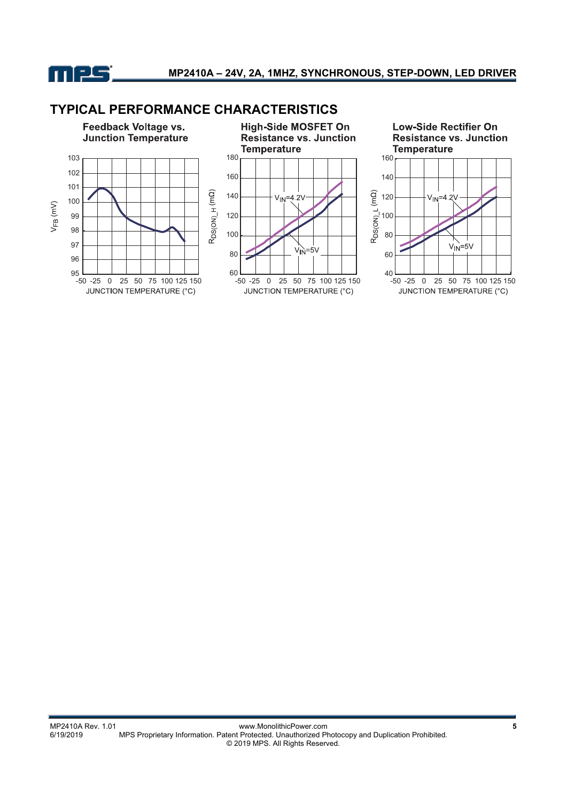

### **TYPICAL PERFORMANCE CHARACTERISTICS**

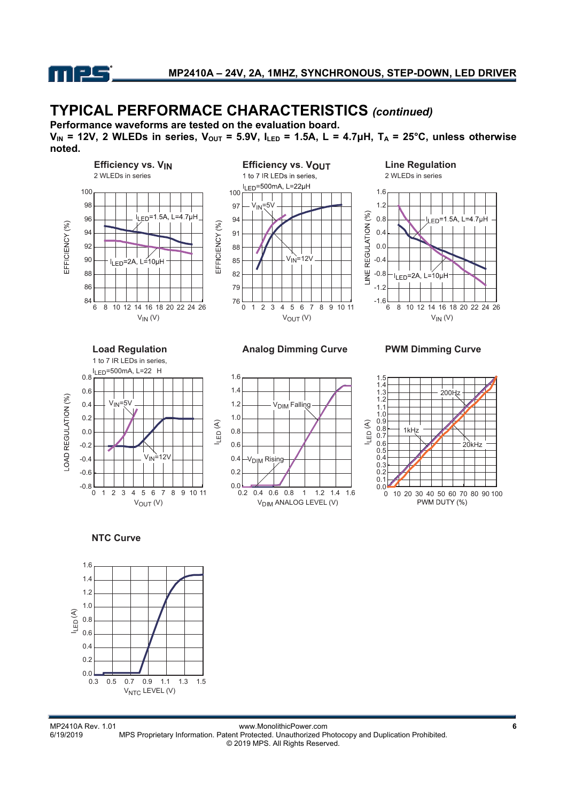

## **TYPICAL PERFORMACE CHARACTERISTICS** *(continued)*

**Performance waveforms are tested on the evaluation board.** 

**VIN = 12V, 2 WLEDs in series, VOUT = 5.9V, ILED = 1.5A, L = 4.7μH, TA = 25°C, unless otherwise noted.**





 $V_{\text{DIN}}$  ANALOG LEVEL (V)  $0.0$   $0.2$ 0.2 0.4 0.6 0.8 1.0 1.2 1.4 1.6 0.2 0.4 0.6 0.8 1 1.2 1.4 1.6 V<sub>DIM</sub> Rising V<sub>DIM</sub> Falling

 $I_{LED}(A)$  $0.0$  $0.1$ 0.2 0.3  $0.4$ 0.5 0.6 0.7 0.8 0.9 1.0 1.1 1.2 1.3 1.4 1.5 0 10 20 30 40 50 60 70 80 90 100<br>PWM DUTY (%)  $200H$ 1kHz 20kHz

**NTC Curve**



MP2410A Rev. 1.01 www.MonolithicPower.com<br>6/19/2019 MPS Proprietary Information. Patent Protected. Unauthorized Photocopy and Duplication Prohibited. MPS Proprietary Information. Patent Protected. Unauthorized Photocopy and Duplication Prohibited. © 2019 MPS. All Rights Reserved.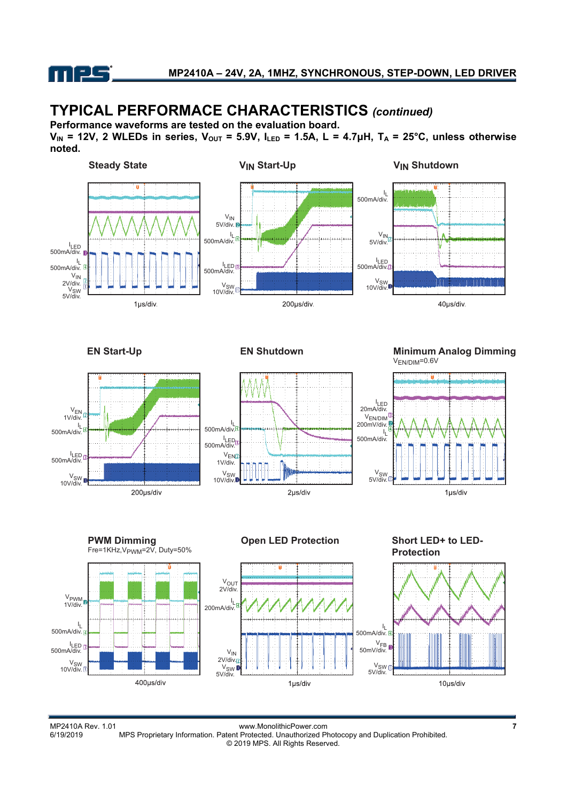

# **TYPICAL PERFORMACE CHARACTERISTICS** *(continued)*

**Performance waveforms are tested on the evaluation board.** 

**VIN = 12V, 2 WLEDs in series, VOUT = 5.9V, ILED = 1.5A, L = 4.7μH, TA = 25°C, unless otherwise noted.**



MP2410A Rev. 1.01 www.MonolithicPower.com **7** MPS Proprietary Information. Patent Protected. Unauthorized Photocopy and Duplication Prohibited. © 2019 MPS. All Rights Reserved.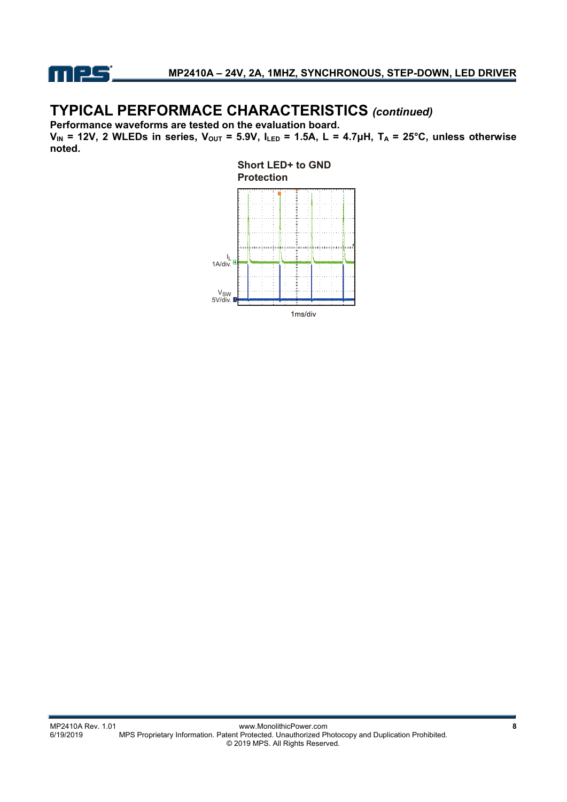

# **TYPICAL PERFORMACE CHARACTERISTICS** *(continued)*

**Performance waveforms are tested on the evaluation board.** 

**VIN = 12V, 2 WLEDs in series, VOUT = 5.9V, ILED = 1.5A, L = 4.7μH, TA = 25°C, unless otherwise noted.** 

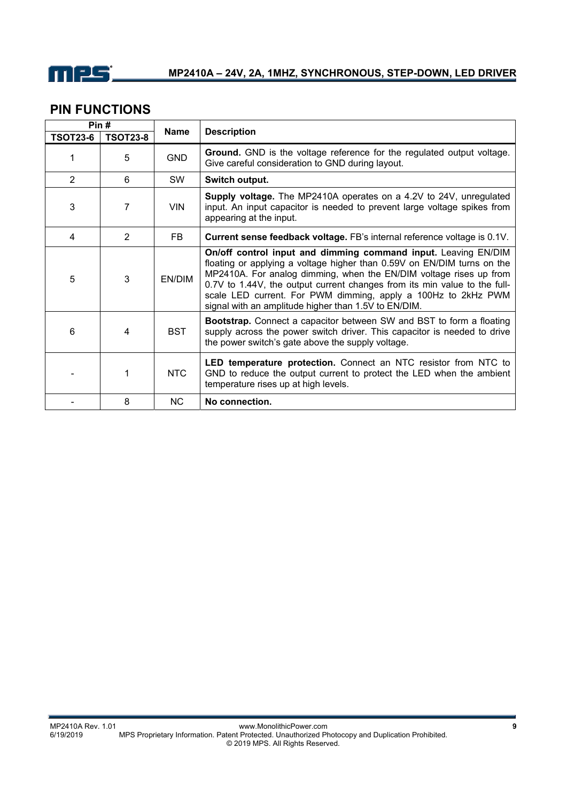

### **PIN FUNCTIONS**

| Pin#            |                 |             |                                                                                                                                                                                                                                                                                                                                                                                                                       |  |
|-----------------|-----------------|-------------|-----------------------------------------------------------------------------------------------------------------------------------------------------------------------------------------------------------------------------------------------------------------------------------------------------------------------------------------------------------------------------------------------------------------------|--|
| <b>TSOT23-6</b> | <b>TSOT23-8</b> | <b>Name</b> | <b>Description</b>                                                                                                                                                                                                                                                                                                                                                                                                    |  |
| 1               | 5               | <b>GND</b>  | Ground. GND is the voltage reference for the regulated output voltage.<br>Give careful consideration to GND during layout.                                                                                                                                                                                                                                                                                            |  |
| 2               | 6               | SW          | Switch output.                                                                                                                                                                                                                                                                                                                                                                                                        |  |
| 3               | 7               | <b>VIN</b>  | Supply voltage. The MP2410A operates on a 4.2V to 24V, unregulated<br>input. An input capacitor is needed to prevent large voltage spikes from<br>appearing at the input.                                                                                                                                                                                                                                             |  |
| 4               | 2               | FB          | Current sense feedback voltage. FB's internal reference voltage is 0.1V.                                                                                                                                                                                                                                                                                                                                              |  |
| 5               | 3               | EN/DIM      | On/off control input and dimming command input. Leaving EN/DIM<br>floating or applying a voltage higher than 0.59V on EN/DIM turns on the<br>MP2410A. For analog dimming, when the EN/DIM voltage rises up from<br>0.7V to 1.44V, the output current changes from its min value to the full-<br>scale LED current. For PWM dimming, apply a 100Hz to 2kHz PWM<br>signal with an amplitude higher than 1.5V to EN/DIM. |  |
| 6               | 4               | <b>BST</b>  | <b>Bootstrap.</b> Connect a capacitor between SW and BST to form a floating<br>supply across the power switch driver. This capacitor is needed to drive<br>the power switch's gate above the supply voltage.                                                                                                                                                                                                          |  |
|                 |                 | <b>NTC</b>  | LED temperature protection. Connect an NTC resistor from NTC to<br>GND to reduce the output current to protect the LED when the ambient<br>temperature rises up at high levels.                                                                                                                                                                                                                                       |  |
|                 | 8               | NC.         | No connection.                                                                                                                                                                                                                                                                                                                                                                                                        |  |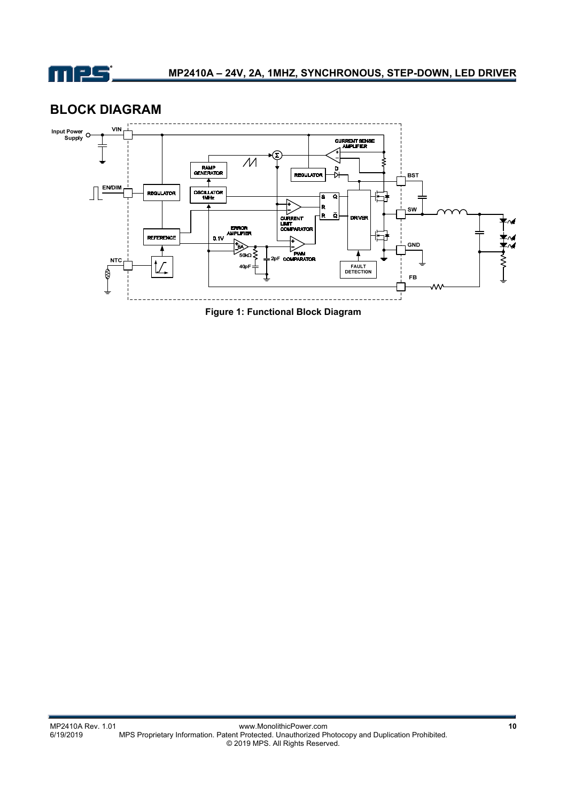

### **BLOCK DIAGRAM**



**Figure 1: Functional Block Diagram**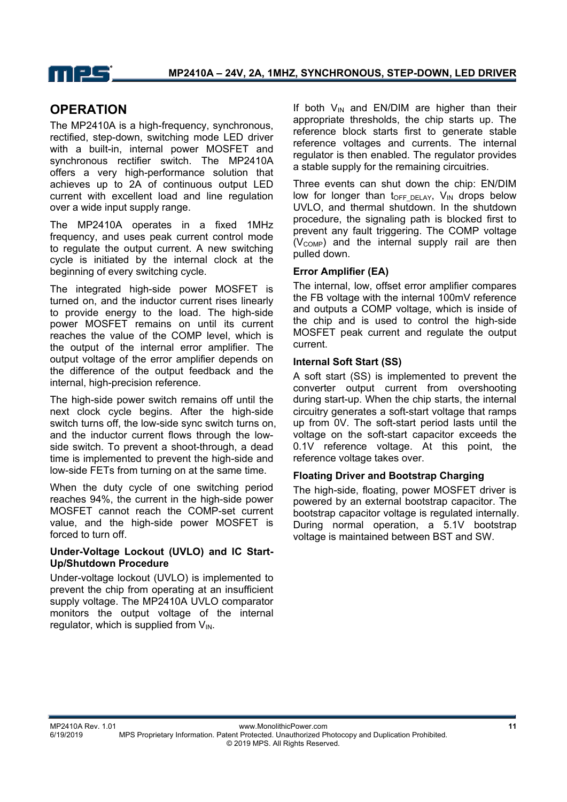

### **OPERATION**

The MP2410A is a high-frequency, synchronous, rectified, step-down, switching mode LED driver with a built-in, internal power MOSFET and synchronous rectifier switch. The MP2410A offers a very high-performance solution that achieves up to 2A of continuous output LED current with excellent load and line regulation over a wide input supply range.

The MP2410A operates in a fixed 1MHz frequency, and uses peak current control mode to regulate the output current. A new switching cycle is initiated by the internal clock at the beginning of every switching cycle.

The integrated high-side power MOSFET is turned on, and the inductor current rises linearly to provide energy to the load. The high-side power MOSFET remains on until its current reaches the value of the COMP level, which is the output of the internal error amplifier. The output voltage of the error amplifier depends on the difference of the output feedback and the internal, high-precision reference.

The high-side power switch remains off until the next clock cycle begins. After the high-side switch turns off, the low-side sync switch turns on, and the inductor current flows through the lowside switch. To prevent a shoot-through, a dead time is implemented to prevent the high-side and low-side FETs from turning on at the same time.

When the duty cycle of one switching period reaches 94%, the current in the high-side power MOSFET cannot reach the COMP-set current value, and the high-side power MOSFET is forced to turn off.

#### **Under-Voltage Lockout (UVLO) and IC Start-Up/Shutdown Procedure**

Under-voltage lockout (UVLO) is implemented to prevent the chip from operating at an insufficient supply voltage. The MP2410A UVLO comparator monitors the output voltage of the internal regulator, which is supplied from  $V_{IN}$ .

If both  $V_{\text{IN}}$  and EN/DIM are higher than their appropriate thresholds, the chip starts up. The reference block starts first to generate stable reference voltages and currents. The internal regulator is then enabled. The regulator provides a stable supply for the remaining circuitries.

Three events can shut down the chip: EN/DIM low for longer than  $t_{OFF\ DELAY}$ ,  $V_{IN}$  drops below UVLO, and thermal shutdown. In the shutdown procedure, the signaling path is blocked first to prevent any fault triggering. The COMP voltage  $(V_{COMP})$  and the internal supply rail are then pulled down.

#### **Error Amplifier (EA)**

The internal, low, offset error amplifier compares the FB voltage with the internal 100mV reference and outputs a COMP voltage, which is inside of the chip and is used to control the high-side MOSFET peak current and regulate the output current.

#### **Internal Soft Start (SS)**

A soft start (SS) is implemented to prevent the converter output current from overshooting during start-up. When the chip starts, the internal circuitry generates a soft-start voltage that ramps up from 0V. The soft-start period lasts until the voltage on the soft-start capacitor exceeds the 0.1V reference voltage. At this point, the reference voltage takes over.

#### **Floating Driver and Bootstrap Charging**

The high-side, floating, power MOSFET driver is powered by an external bootstrap capacitor. The bootstrap capacitor voltage is regulated internally. During normal operation, a 5.1V bootstrap voltage is maintained between BST and SW.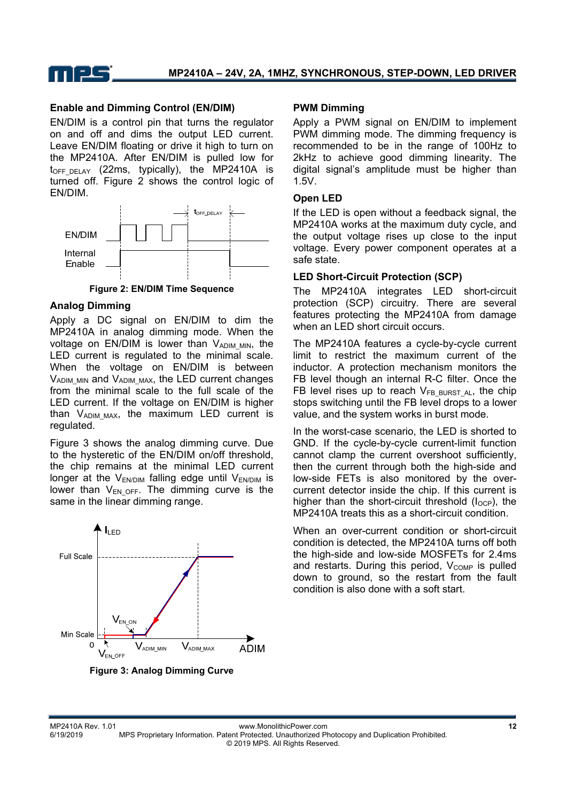

#### **Enable and Dimming Control (EN/DIM)**

EN/DIM is a control pin that turns the regulator on and off and dims the output LED current. Leave EN/DIM floating or drive it high to turn on the MP2410A. After EN/DIM is pulled low for  $t_{OFF\ DELAY}$  (22ms, typically), the MP2410A is turned off. Figure 2 shows the control logic of EN/DIM.



**Figure 2: EN/DIM Time Sequence** 

#### **Analog Dimming**

Apply a DC signal on EN/DIM to dim the MP2410A in analog dimming mode. When the voltage on  $EN/DIM$  is lower than  $V_{ADIM~MIN}$ , the LED current is regulated to the minimal scale. When the voltage on EN/DIM is between  $V_{ADIM~MIN}$  and  $V_{ADIM~MAX}$ , the LED current changes from the minimal scale to the full scale of the LED current. If the voltage on EN/DIM is higher than  $V_{ADIMMAX}$ , the maximum LED current is regulated.

Figure 3 shows the analog dimming curve. Due to the hysteretic of the EN/DIM on/off threshold, the chip remains at the minimal LED current longer at the  $V_{EN/DIM}$  falling edge until  $V_{EN/DIM}$  is lower than  $V_{ENOFF}$ . The dimming curve is the same in the linear dimming range.



#### **PWM Dimming**

Apply a PWM signal on EN/DIM to implement PWM dimming mode. The dimming frequency is recommended to be in the range of 100Hz to 2kHz to achieve good dimming linearity. The digital signal's amplitude must be higher than 1.5V.

#### **Open LED**

If the LED is open without a feedback signal, the MP2410A works at the maximum duty cycle, and the output voltage rises up close to the input voltage. Every power component operates at a safe state.

#### **LED Short-Circuit Protection (SCP)**

The MP2410A integrates LED short-circuit protection (SCP) circuitry. There are several features protecting the MP2410A from damage when an LED short circuit occurs.

The MP2410A features a cycle-by-cycle current limit to restrict the maximum current of the inductor. A protection mechanism monitors the FB level though an internal R-C filter. Once the FB level rises up to reach  $V_{FB}$  BURST AL, the chip stops switching until the FB level drops to a lower value, and the system works in burst mode.

In the worst-case scenario, the LED is shorted to GND. If the cycle-by-cycle current-limit function cannot clamp the current overshoot sufficiently, then the current through both the high-side and low-side FETs is also monitored by the overcurrent detector inside the chip. If this current is higher than the short-circuit threshold  $(I<sub>OCP</sub>)$ , the MP2410A treats this as a short-circuit condition.

When an over-current condition or short-circuit condition is detected, the MP2410A turns off both the high-side and low-side MOSFETs for 2.4ms and restarts. During this period,  $V_{COMP}$  is pulled down to ground, so the restart from the fault condition is also done with a soft start.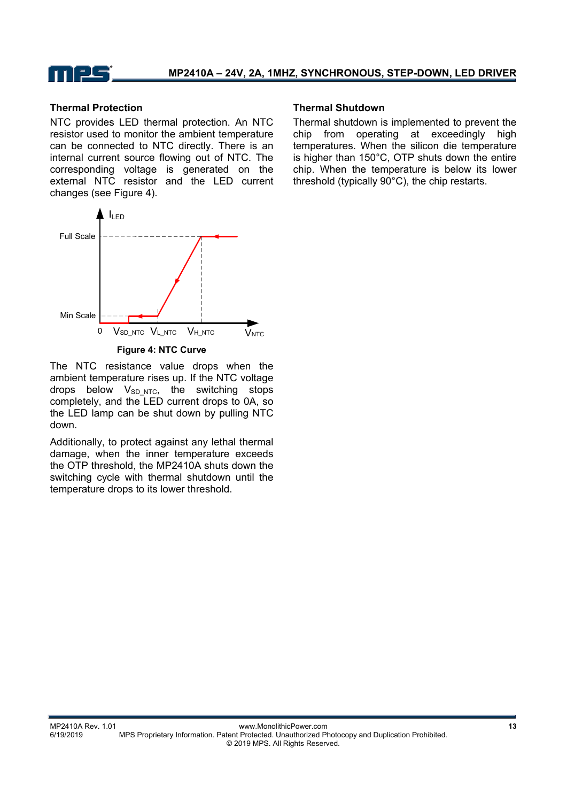

#### **Thermal Protection**

NTC provides LED thermal protection. An NTC resistor used to monitor the ambient temperature can be connected to NTC directly. There is an internal current source flowing out of NTC. The corresponding voltage is generated on the external NTC resistor and the LED current changes (see Figure 4).



The NTC resistance value drops when the ambient temperature rises up. If the NTC voltage drops below  $V_{SD\_NTC}$ , the switching stops completely, and the LED current drops to 0A, so the LED lamp can be shut down by pulling NTC down.

Additionally, to protect against any lethal thermal damage, when the inner temperature exceeds the OTP threshold, the MP2410A shuts down the switching cycle with thermal shutdown until the temperature drops to its lower threshold.

#### **Thermal Shutdown**

Thermal shutdown is implemented to prevent the chip from operating at exceedingly high temperatures. When the silicon die temperature is higher than 150°C, OTP shuts down the entire chip. When the temperature is below its lower threshold (typically 90°C), the chip restarts.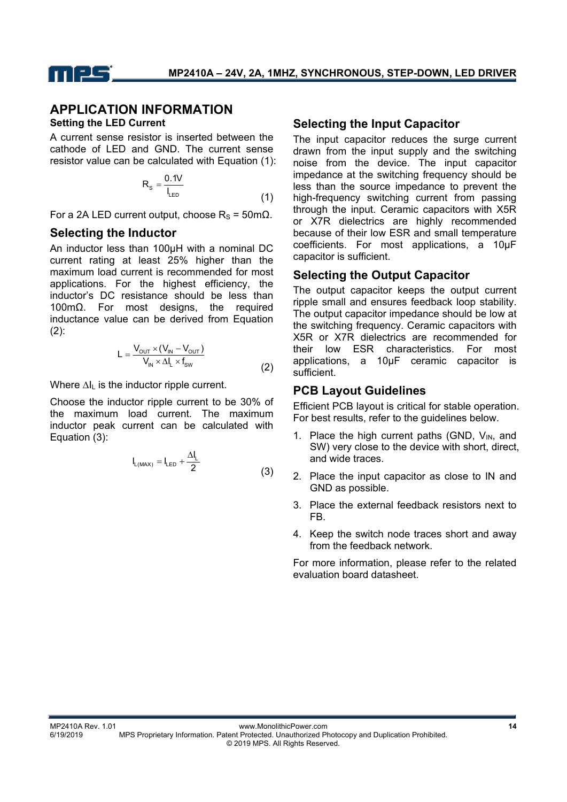

### **APPLICATION INFORMATION**

#### **Setting the LED Current**

A current sense resistor is inserted between the cathode of LED and GND. The current sense resistor value can be calculated with Equation (1):

$$
R_s = \frac{0.1V}{I_{LED}}
$$
 (1)

For a 2A LED current output, choose  $R_s = 50$ mΩ.

#### **Selecting the Inductor**

An inductor less than 100µH with a nominal DC current rating at least 25% higher than the maximum load current is recommended for most applications. For the highest efficiency, the inductor's DC resistance should be less than 100mΩ. For most designs, the required inductance value can be derived from Equation  $(2)$ :

$$
L = \frac{V_{\text{out}} \times (V_{\text{in}} - V_{\text{out}})}{V_{\text{in}} \times \Delta I_{\text{L}} \times f_{\text{sw}}}
$$
(2)

Where ∆I<sub>L</sub> is the inductor ripple current.

Choose the inductor ripple current to be 30% of the maximum load current. The maximum inductor peak current can be calculated with Equation (3):

$$
I_{L(MAX)} = I_{LED} + \frac{\Delta I_L}{2}
$$
 (3)

#### **Selecting the Input Capacitor**

The input capacitor reduces the surge current drawn from the input supply and the switching noise from the device. The input capacitor impedance at the switching frequency should be less than the source impedance to prevent the high-frequency switching current from passing through the input. Ceramic capacitors with X5R or X7R dielectrics are highly recommended because of their low ESR and small temperature coefficients. For most applications, a 10µF capacitor is sufficient.

#### **Selecting the Output Capacitor**

The output capacitor keeps the output current ripple small and ensures feedback loop stability. The output capacitor impedance should be low at the switching frequency. Ceramic capacitors with X5R or X7R dielectrics are recommended for their low ESR characteristics. For most applications, a 10µF ceramic capacitor is sufficient.

#### **PCB Layout Guidelines**

Efficient PCB layout is critical for stable operation. For best results, refer to the guidelines below.

- 1. Place the high current paths (GND,  $V_{IN}$ , and SW) very close to the device with short, direct, and wide traces.
- 2. Place the input capacitor as close to IN and GND as possible.
- 3. Place the external feedback resistors next to FB.
- 4. Keep the switch node traces short and away from the feedback network.

For more information, please refer to the related evaluation board datasheet.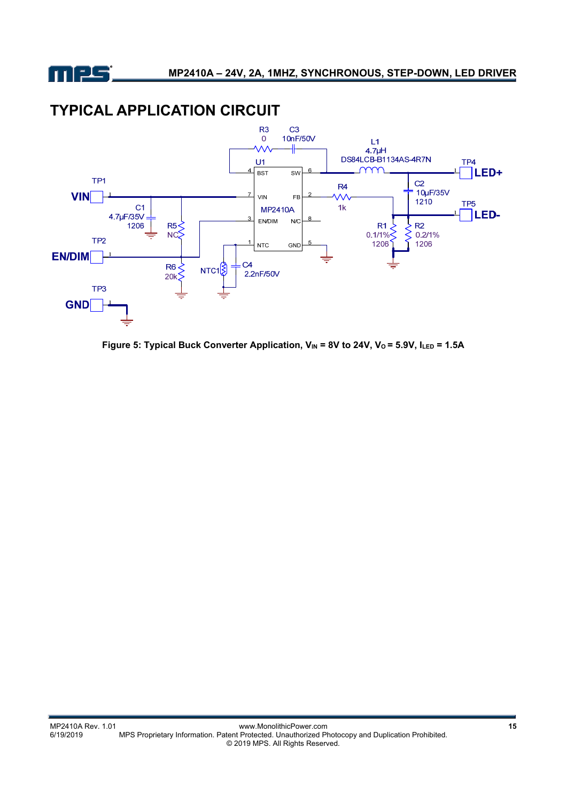

## **TYPICAL APPLICATION CIRCUIT**



Figure 5: Typical Buck Converter Application, V<sub>IN</sub> = 8V to 24V, V<sub>0</sub> = 5.9V, ILED = 1.5A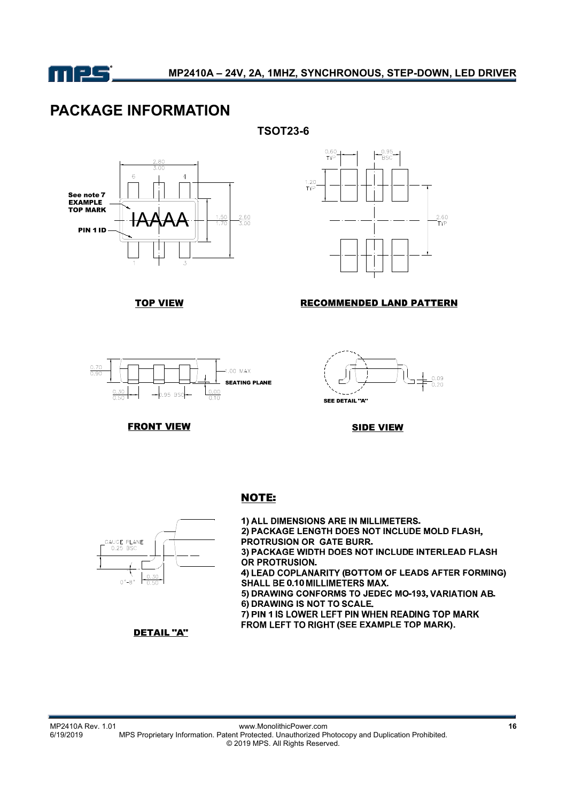

### **PACKAGE INFORMATION**





**TOP VIEW** 



#### **RECOMMENDED LAND PATTERN**





**FRONT VIEW** 

**SIDE VIEW** 

### **NOTE:**



1) ALL DIMENSIONS ARE IN MILLIMETERS. 2) PACKAGE LENGTH DOES NOT INCLUDE MOLD FLASH, PROTRUSION OR GATE BURR. 3) PACKAGE WIDTH DOES NOT INCLUDE INTERLEAD FLASH OR PROTRUSION. 4) LEAD COPLANARITY (BOTTOM OF LEADS AFTER FORMING) SHALL BE 0.10 MILLIMETERS MAX. 5) DRAWING CONFORMS TO JEDEC MO-193, VARIATION AB. 6) DRAWING IS NOT TO SCALE. 7) PIN 1 IS LOWER LEFT PIN WHEN READING TOP MARK FROM LEFT TO RIGHT (SEE EXAMPLE TOP MARK).

**DETAIL "A"**